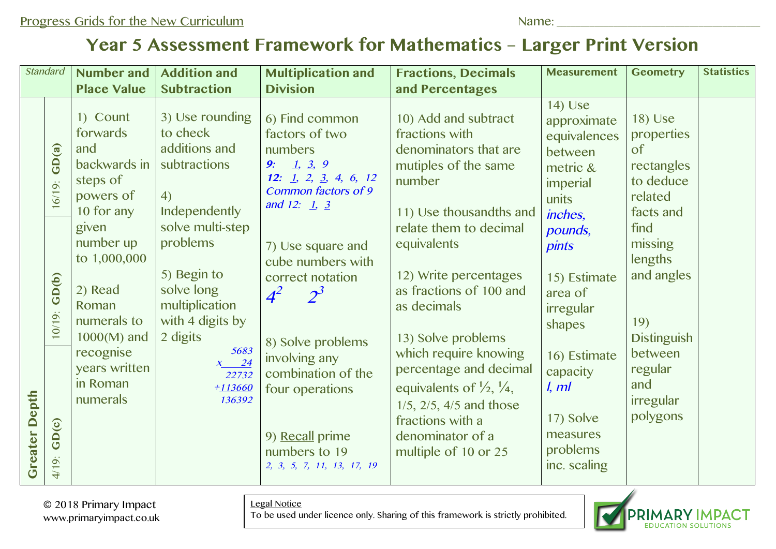## **Year 5 Assessment Framework for Mathematics – Larger Print Version**

| <b>Standard</b>      |                                      | <b>Number and</b>                                                                                                                            | <b>Addition and</b>                                                                                                                                              | <b>Multiplication and</b>                                                                                                                                                                                                     | <b>Fractions, Decimals</b>                                                                                                                                                                                                                                                                                                             | <b>Measurement</b>                                                                                                                                                  | <b>Geometry</b>                                                                                                             | <b>Statistics</b> |
|----------------------|--------------------------------------|----------------------------------------------------------------------------------------------------------------------------------------------|------------------------------------------------------------------------------------------------------------------------------------------------------------------|-------------------------------------------------------------------------------------------------------------------------------------------------------------------------------------------------------------------------------|----------------------------------------------------------------------------------------------------------------------------------------------------------------------------------------------------------------------------------------------------------------------------------------------------------------------------------------|---------------------------------------------------------------------------------------------------------------------------------------------------------------------|-----------------------------------------------------------------------------------------------------------------------------|-------------------|
|                      |                                      | <b>Place Value</b>                                                                                                                           | <b>Subtraction</b>                                                                                                                                               | <b>Division</b>                                                                                                                                                                                                               | and Percentages                                                                                                                                                                                                                                                                                                                        |                                                                                                                                                                     |                                                                                                                             |                   |
| <b>Greater Depth</b> | GD(a)<br>$16/19$ :                   | 1) Count<br>forwards<br>and<br>backwards in<br>steps of<br>powers of<br>10 for any                                                           | 3) Use rounding<br>to check<br>additions and<br>subtractions<br>4)<br>Independently                                                                              | 6) Find common<br>factors of two<br>numbers<br>9: 1, 3, 9<br>12: $1, 2, 3, 4, 6, 12$<br>Common factors of 9<br>and 12: $1, 3$                                                                                                 | 10) Add and subtract<br>fractions with<br>denominators that are<br>mutiples of the same<br>number<br>11) Use thousandths and                                                                                                                                                                                                           | 14) Use<br>approximate<br>equivalences<br>between<br>metric &<br>imperial<br>units<br>inches,                                                                       | 18) Use<br>properties<br>of<br>rectangles<br>to deduce<br>related<br>facts and                                              |                   |
|                      | GD(b)<br>$10/19$ :<br>GD(c)<br>4/19: | given<br>number up<br>to 1,000,000<br>2) Read<br>Roman<br>numerals to<br>$1000(M)$ and<br>recognise<br>years written<br>in Roman<br>numerals | solve multi-step<br>problems<br>5) Begin to<br>solve long<br>multiplication<br>with 4 digits by<br>2 digits<br>5683<br>$x \t 24$<br>22732<br>$+113660$<br>136392 | 7) Use square and<br>cube numbers with<br>correct notation<br>$4^2$<br>$2^3$<br>8) Solve problems<br>involving any<br>combination of the<br>four operations<br>9) Recall prime<br>numbers to 19<br>2, 3, 5, 7, 11, 13, 17, 19 | relate them to decimal<br>equivalents<br>12) Write percentages<br>as fractions of 100 and<br>as decimals<br>13) Solve problems<br>which require knowing<br>percentage and decimal<br>equivalents of $\frac{1}{2}$ , $\frac{1}{4}$ ,<br>$1/5$ , $2/5$ , $4/5$ and those<br>fractions with a<br>denominator of a<br>multiple of 10 or 25 | pounds,<br><i>pints</i><br>15) Estimate<br>area of<br>irregular<br>shapes<br>16) Estimate<br>capacity<br>l, ml<br>17) Solve<br>measures<br>problems<br>inc. scaling | find<br>missing<br>lengths<br>and angles<br>19)<br><b>Distinguish</b><br>between<br>regular<br>and<br>irregular<br>polygons |                   |

© 2018 Primary Impact www.primaryimpact.co.uk Legal Notice

To be used under licence only. Sharing of this framework is strictly prohibited.

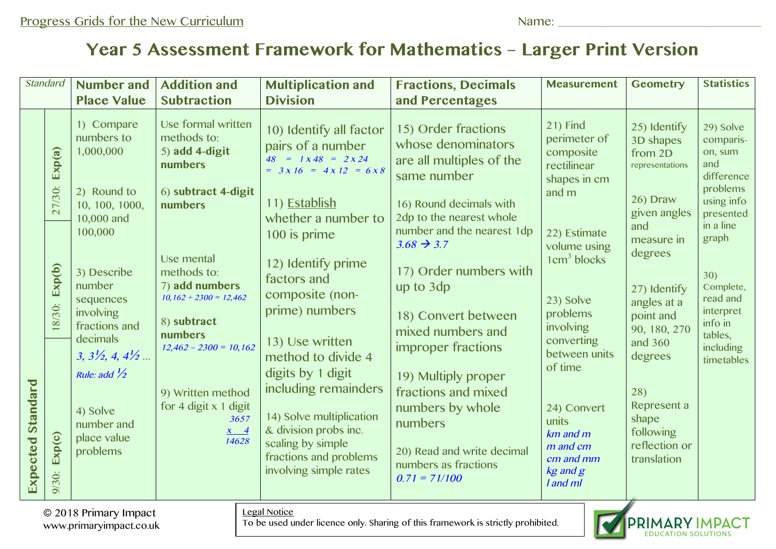## **Year 5 Assessment Framework for Mathematics – Larger Print Version**

| <b>Standard</b>                                                  |                  | <b>Number and</b>                                                            | <b>Addition and</b>                                                 | <b>Multiplication and</b>                                                                                                                                               | <b>Fractions, Decimals</b>                                                           | <b>Measurement</b>                                                                        | <b>Geometry</b>                                                          | <b>Statistics</b>                                                  |
|------------------------------------------------------------------|------------------|------------------------------------------------------------------------------|---------------------------------------------------------------------|-------------------------------------------------------------------------------------------------------------------------------------------------------------------------|--------------------------------------------------------------------------------------|-------------------------------------------------------------------------------------------|--------------------------------------------------------------------------|--------------------------------------------------------------------|
|                                                                  |                  | <b>Place Value</b>                                                           | <b>Subtraction</b>                                                  | <b>Division</b>                                                                                                                                                         | and Percentages                                                                      |                                                                                           |                                                                          |                                                                    |
|                                                                  | Exp(a)           | 1) Compare<br>numbers to<br>1,000,000                                        | Use formal written<br>methods to:<br>$5)$ add 4-digit<br>numbers    | 10) Identify all factor<br>pairs of a number<br>$48 = 1 \times 48 = 2 \times 24$<br>= $3x 16 = 4x 12 = 6x 8$                                                            | 15) Order fractions<br>whose denominators<br>are all multiples of the<br>same number | 21) Find<br>perimeter of<br>composite<br>rectilinear<br>shapes in cm                      | 25) Identify<br>3D shapes<br>from 2D<br>representations                  | 29) Solve<br>comparis-<br>on, sum<br>and<br>difference<br>problems |
|                                                                  | 27/30:           | 2) Round to<br>10, 100, 1000,<br>10,000 and                                  | 6) subtract 4-digit<br>numbers                                      | 11) Establish<br>whether a number to                                                                                                                                    | 16) Round decimals with<br>2dp to the nearest whole                                  | and m                                                                                     | 26) Draw<br>given angles<br>and                                          | using info<br>presented<br>in a line                               |
| Standard<br>Expected                                             | Exp(b)<br>18/30: | 100,000                                                                      | Use mental                                                          | 100 is prime<br>12) Identify prime                                                                                                                                      | number and the nearest 1dp<br>$3.68 \rightarrow 3.7$                                 | 22) Estimate<br>volume using<br>$1 \text{cm}^3$ blocks                                    | measure in<br>degrees                                                    | graph                                                              |
|                                                                  |                  | 3) Describe<br>number<br>sequences<br>involving                              | methods to:<br>7) add numbers<br>$10,162 + 2300 = 12,462$           | factors and<br>composite (non-<br>prime) numbers                                                                                                                        | 17) Order numbers with<br>up to 3dp<br>18) Convert between                           | 23) Solve<br>problems                                                                     | 27) Identify<br>angles at a<br>point and                                 | 30)<br>Complete,<br>read and<br>interpret                          |
|                                                                  |                  | fractions and<br>decimals<br>$3, 3\frac{1}{2}, 4, 4\frac{1}{2}$              | 8) subtract<br><b>numbers</b><br>$12,462 - 2300 = 10,162$           | 13) Use written<br>method to divide 4                                                                                                                                   | mixed numbers and<br>improper fractions                                              | involving<br>converting<br>between units<br>of time                                       | 90, 180, 270<br>and 360<br>degrees                                       | info in<br>tables,<br>including<br>timetables                      |
|                                                                  | Exp(c)<br>9/30:  | Rule: add $\frac{1}{2}$<br>4) Solve<br>number and<br>place value<br>problems | 9) Written method<br>for 4 digit $x$ 1 digit<br>3657<br>$x \quad 4$ | digits by 1 digit<br>including remainders<br>14) Solve multiplication<br>& division probs inc.<br>scaling by simple<br>fractions and problems<br>involving simple rates | 19) Multiply proper<br>fractions and mixed<br>numbers by whole<br>numbers            | 24) Convert<br>units<br>$km$ and $m$<br>m and cm<br>cm and mm<br>$kg$ and $g$<br>I and ml | 28)<br>Represent a<br>shape<br>following<br>reflection or<br>translation |                                                                    |
|                                                                  |                  |                                                                              | 14628                                                               |                                                                                                                                                                         | 20) Read and write decimal<br>numbers as fractions<br>$0.71 = 71/100$                |                                                                                           |                                                                          |                                                                    |
| Legal Notice<br>© 2018 Primary Impact<br>www.primaryimpact.co.uk |                  |                                                                              |                                                                     |                                                                                                                                                                         | To be used under licence only. Sharing of this framework is strictly prohibited.     |                                                                                           | <b>PRIMARY IMPACT</b>                                                    |                                                                    |